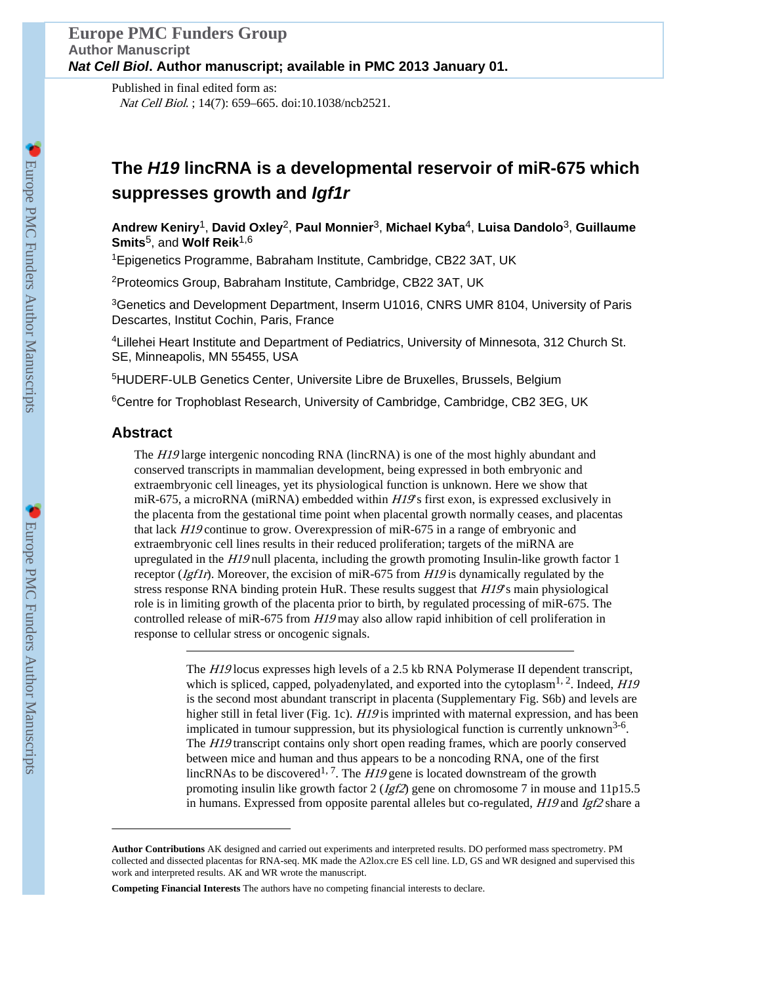Published in final edited form as: Nat Cell Biol. ; 14(7): 659–665. doi:10.1038/ncb2521.

# **The** *H19* **lincRNA is a developmental reservoir of miR-675 which suppresses growth and** *Igf1r*

**Andrew Keniry**1, **David Oxley**2, **Paul Monnier**3, **Michael Kyba**4, **Luisa Dandolo**3, **Guillaume Smits**5, and **Wolf Reik**1,6

<sup>1</sup>Epigenetics Programme, Babraham Institute, Cambridge, CB22 3AT, UK

<sup>2</sup>Proteomics Group, Babraham Institute, Cambridge, CB22 3AT, UK

<sup>3</sup>Genetics and Development Department, Inserm U1016, CNRS UMR 8104, University of Paris Descartes, Institut Cochin, Paris, France

<sup>4</sup> Lillehei Heart Institute and Department of Pediatrics, University of Minnesota, 312 Church St. SE, Minneapolis, MN 55455, USA

<sup>5</sup>HUDERF-ULB Genetics Center, Universite Libre de Bruxelles, Brussels, Belgium

<sup>6</sup>Centre for Trophoblast Research, University of Cambridge, Cambridge, CB2 3EG, UK

# **Abstract**

The *H19* large intergenic noncoding RNA (lincRNA) is one of the most highly abundant and conserved transcripts in mammalian development, being expressed in both embryonic and extraembryonic cell lineages, yet its physiological function is unknown. Here we show that miR-675, a microRNA (miRNA) embedded within  $H/\mathcal{G}$ s first exon, is expressed exclusively in the placenta from the gestational time point when placental growth normally ceases, and placentas that lack H19 continue to grow. Overexpression of miR-675 in a range of embryonic and extraembryonic cell lines results in their reduced proliferation; targets of the miRNA are upregulated in the  $HI9$  null placenta, including the growth promoting Insulin-like growth factor 1 receptor  $(Igflr)$ . Moreover, the excision of miR-675 from  $HI9$  is dynamically regulated by the stress response RNA binding protein HuR. These results suggest that  $H19$ 's main physiological role is in limiting growth of the placenta prior to birth, by regulated processing of miR-675. The controlled release of miR-675 from  $H19$  may also allow rapid inhibition of cell proliferation in response to cellular stress or oncogenic signals.

> The H19 locus expresses high levels of a 2.5 kb RNA Polymerase II dependent transcript, which is spliced, capped, polyadenylated, and exported into the cytoplasm<sup>1, 2</sup>. Indeed,  $H19$ is the second most abundant transcript in placenta (Supplementary Fig. S6b) and levels are higher still in fetal liver (Fig. 1c). H19 is imprinted with maternal expression, and has been implicated in tumour suppression, but its physiological function is currently unknown<sup>3-6</sup>. The H19 transcript contains only short open reading frames, which are poorly conserved between mice and human and thus appears to be a noncoding RNA, one of the first lincRNAs to be discovered<sup>1, 7</sup>. The  $H19$  gene is located downstream of the growth promoting insulin like growth factor  $2 (Igf2)$  gene on chromosome 7 in mouse and 11p15.5 in humans. Expressed from opposite parental alleles but co-regulated,  $H19$  and  $Igf2$  share a

**Author Contributions** AK designed and carried out experiments and interpreted results. DO performed mass spectrometry. PM collected and dissected placentas for RNA-seq. MK made the A2lox.cre ES cell line. LD, GS and WR designed and supervised this work and interpreted results. AK and WR wrote the manuscript.

**Competing Financial Interests** The authors have no competing financial interests to declare.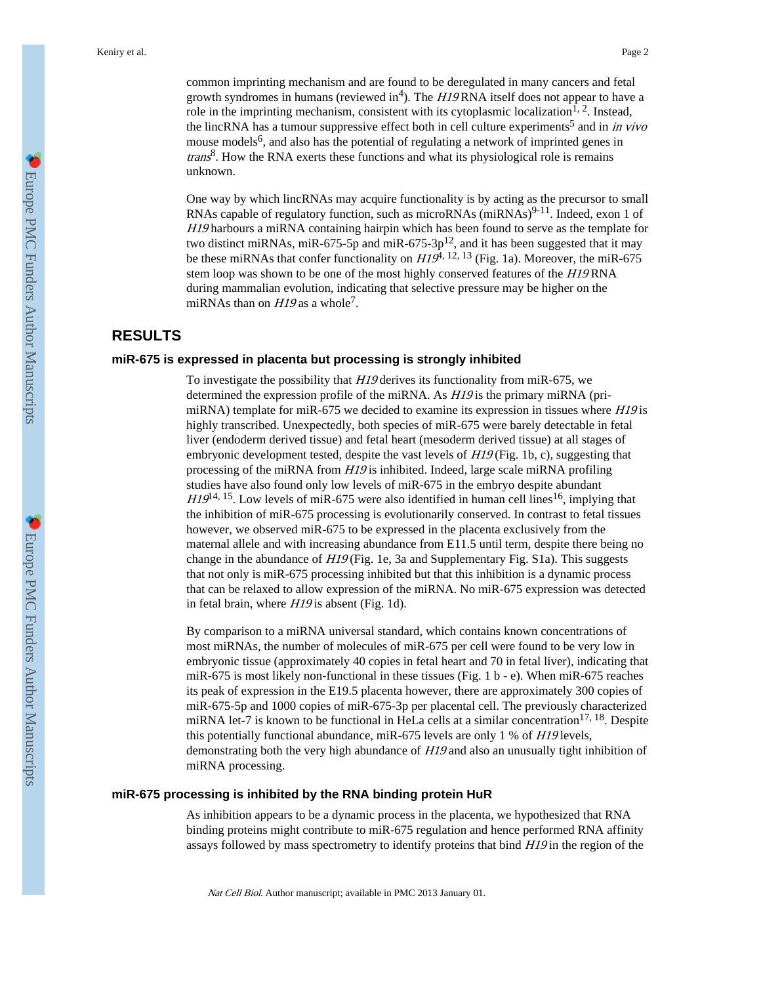common imprinting mechanism and are found to be deregulated in many cancers and fetal growth syndromes in humans (reviewed in<sup>4</sup>). The  $H19$  RNA itself does not appear to have a role in the imprinting mechanism, consistent with its cytoplasmic localization<sup>1, 2</sup>. Instead, the lincRNA has a tumour suppressive effect both in cell culture experiments<sup>5</sup> and in *in vivo* mouse models<sup>6</sup>, and also has the potential of regulating a network of imprinted genes in  $trans<sup>8</sup>$ . How the RNA exerts these functions and what its physiological role is remains unknown.

One way by which lincRNAs may acquire functionality is by acting as the precursor to small RNAs capable of regulatory function, such as microRNAs  $(miRNAs)^{9-11}$ . Indeed, exon 1 of H19 harbours a miRNA containing hairpin which has been found to serve as the template for two distinct miRNAs, miR-675-5p and miR-675-3p<sup>12</sup>, and it has been suggested that it may be these miRNAs that confer functionality on  $H19^{\overline{4}, 12, 13}$  (Fig. 1a). Moreover, the miR-675 stem loop was shown to be one of the most highly conserved features of the H19 RNA during mammalian evolution, indicating that selective pressure may be higher on the miRNAs than on  $H19$  as a whole<sup>7</sup>.

# **RESULTS**

#### **miR-675 is expressed in placenta but processing is strongly inhibited**

To investigate the possibility that H19 derives its functionality from miR-675, we determined the expression profile of the miRNA. As  $H19$  is the primary miRNA (primiRNA) template for miR-675 we decided to examine its expression in tissues where  $H19$  is highly transcribed. Unexpectedly, both species of miR-675 were barely detectable in fetal liver (endoderm derived tissue) and fetal heart (mesoderm derived tissue) at all stages of embryonic development tested, despite the vast levels of  $H19$  (Fig. 1b, c), suggesting that processing of the miRNA from H19 is inhibited. Indeed, large scale miRNA profiling studies have also found only low levels of miR-675 in the embryo despite abundant  $H19^{14, 15}$ . Low levels of miR-675 were also identified in human cell lines<sup>16</sup>, implying that the inhibition of miR-675 processing is evolutionarily conserved. In contrast to fetal tissues however, we observed miR-675 to be expressed in the placenta exclusively from the maternal allele and with increasing abundance from E11.5 until term, despite there being no change in the abundance of H19 (Fig. 1e, 3a and Supplementary Fig. S1a). This suggests that not only is miR-675 processing inhibited but that this inhibition is a dynamic process that can be relaxed to allow expression of the miRNA. No miR-675 expression was detected in fetal brain, where H19 is absent (Fig. 1d).

By comparison to a miRNA universal standard, which contains known concentrations of most miRNAs, the number of molecules of miR-675 per cell were found to be very low in embryonic tissue (approximately 40 copies in fetal heart and 70 in fetal liver), indicating that miR-675 is most likely non-functional in these tissues (Fig. 1 b - e). When miR-675 reaches its peak of expression in the E19.5 placenta however, there are approximately 300 copies of miR-675-5p and 1000 copies of miR-675-3p per placental cell. The previously characterized miRNA let-7 is known to be functional in HeLa cells at a similar concentration<sup>17, 18</sup>. Despite this potentially functional abundance, miR-675 levels are only 1 % of H19 levels, demonstrating both the very high abundance of H19 and also an unusually tight inhibition of miRNA processing.

# **miR-675 processing is inhibited by the RNA binding protein HuR**

As inhibition appears to be a dynamic process in the placenta, we hypothesized that RNA binding proteins might contribute to miR-675 regulation and hence performed RNA affinity assays followed by mass spectrometry to identify proteins that bind  $H19$  in the region of the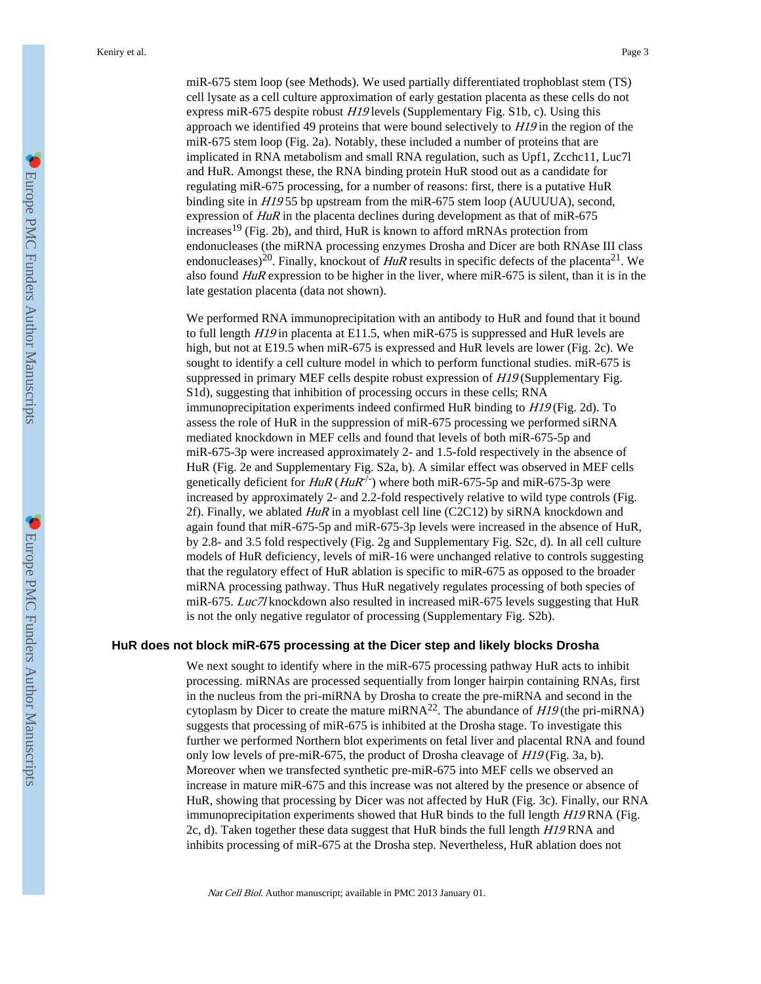miR-675 stem loop (see Methods). We used partially differentiated trophoblast stem (TS) cell lysate as a cell culture approximation of early gestation placenta as these cells do not express miR-675 despite robust H19 levels (Supplementary Fig. S1b, c). Using this approach we identified 49 proteins that were bound selectively to  $H19$  in the region of the miR-675 stem loop (Fig. 2a). Notably, these included a number of proteins that are implicated in RNA metabolism and small RNA regulation, such as Upf1, Zcchc11, Luc7l and HuR. Amongst these, the RNA binding protein HuR stood out as a candidate for regulating miR-675 processing, for a number of reasons: first, there is a putative HuR binding site in H19 55 bp upstream from the miR-675 stem loop (AUUUUA), second, expression of  $HuR$  in the placenta declines during development as that of miR-675 increases<sup>19</sup> (Fig. 2b), and third, HuR is known to afford mRNAs protection from endonucleases (the miRNA processing enzymes Drosha and Dicer are both RNAse III class endonucleases)<sup>20</sup>. Finally, knockout of  $HuR$  results in specific defects of the placenta<sup>21</sup>. We also found  $HuR$  expression to be higher in the liver, where miR-675 is silent, than it is in the late gestation placenta (data not shown).

We performed RNA immunoprecipitation with an antibody to HuR and found that it bound to full length  $H19$  in placenta at E11.5, when miR-675 is suppressed and HuR levels are high, but not at E19.5 when miR-675 is expressed and HuR levels are lower (Fig. 2c). We sought to identify a cell culture model in which to perform functional studies. miR-675 is suppressed in primary MEF cells despite robust expression of  $H19$  (Supplementary Fig. S1d), suggesting that inhibition of processing occurs in these cells; RNA immunoprecipitation experiments indeed confirmed HuR binding to H19 (Fig. 2d). To assess the role of HuR in the suppression of miR-675 processing we performed siRNA mediated knockdown in MEF cells and found that levels of both miR-675-5p and miR-675-3p were increased approximately 2- and 1.5-fold respectively in the absence of HuR (Fig. 2e and Supplementary Fig. S2a, b). A similar effect was observed in MEF cells genetically deficient for  $HuR$  ( $HuR^{-/-}$ ) where both miR-675-5p and miR-675-3p were increased by approximately 2- and 2.2-fold respectively relative to wild type controls (Fig. 2f). Finally, we ablated  $HuR$  in a myoblast cell line (C2C12) by siRNA knockdown and again found that miR-675-5p and miR-675-3p levels were increased in the absence of HuR, by 2.8- and 3.5 fold respectively (Fig. 2g and Supplementary Fig. S2c, d). In all cell culture models of HuR deficiency, levels of miR-16 were unchanged relative to controls suggesting that the regulatory effect of HuR ablation is specific to miR-675 as opposed to the broader miRNA processing pathway. Thus HuR negatively regulates processing of both species of miR-675. Luc7l knockdown also resulted in increased miR-675 levels suggesting that HuR is not the only negative regulator of processing (Supplementary Fig. S2b).

# **HuR does not block miR-675 processing at the Dicer step and likely blocks Drosha**

We next sought to identify where in the miR-675 processing pathway HuR acts to inhibit processing. miRNAs are processed sequentially from longer hairpin containing RNAs, first in the nucleus from the pri-miRNA by Drosha to create the pre-miRNA and second in the cytoplasm by Dicer to create the mature miRNA<sup>22</sup>. The abundance of  $H19$  (the pri-miRNA) suggests that processing of miR-675 is inhibited at the Drosha stage. To investigate this further we performed Northern blot experiments on fetal liver and placental RNA and found only low levels of pre-miR-675, the product of Drosha cleavage of H19 (Fig. 3a, b). Moreover when we transfected synthetic pre-miR-675 into MEF cells we observed an increase in mature miR-675 and this increase was not altered by the presence or absence of HuR, showing that processing by Dicer was not affected by HuR (Fig. 3c). Finally, our RNA immunoprecipitation experiments showed that HuR binds to the full length  $H19RNA$  (Fig. 2c, d). Taken together these data suggest that HuR binds the full length H19 RNA and inhibits processing of miR-675 at the Drosha step. Nevertheless, HuR ablation does not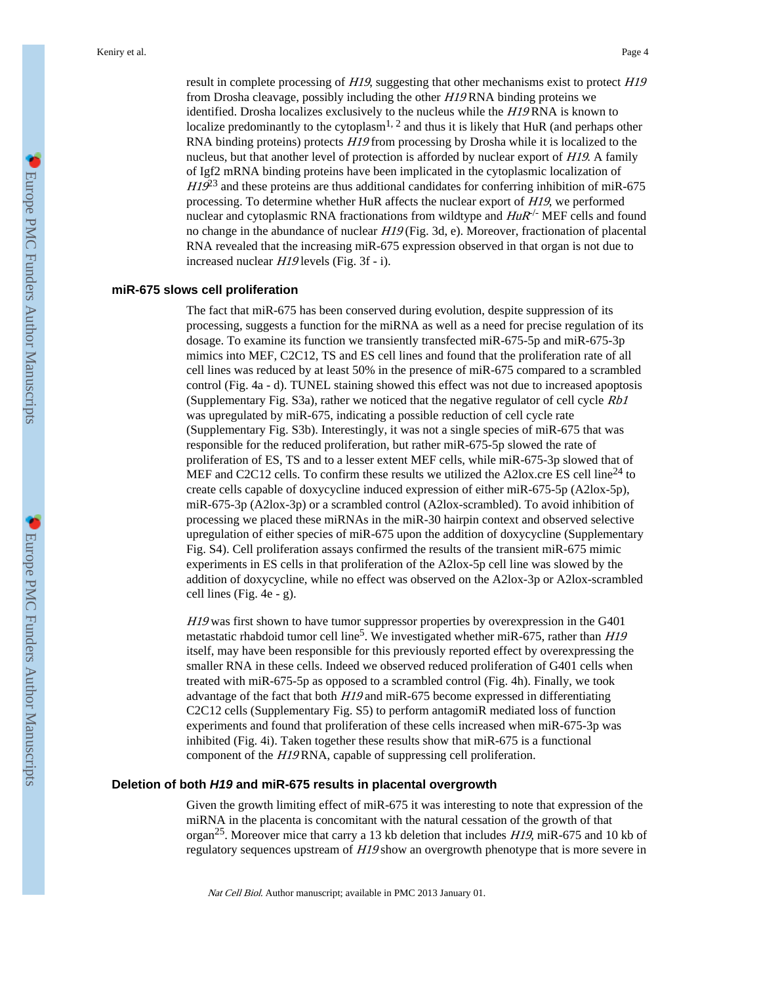result in complete processing of H19, suggesting that other mechanisms exist to protect H19 from Drosha cleavage, possibly including the other H19 RNA binding proteins we identified. Drosha localizes exclusively to the nucleus while the H19 RNA is known to localize predominantly to the cytoplasm<sup>1, 2</sup> and thus it is likely that HuR (and perhaps other RNA binding proteins) protects  $H19$  from processing by Drosha while it is localized to the nucleus, but that another level of protection is afforded by nuclear export of  $H19$ . A family of Igf2 mRNA binding proteins have been implicated in the cytoplasmic localization of  $H19^{23}$  and these proteins are thus additional candidates for conferring inhibition of miR-675 processing. To determine whether HuR affects the nuclear export of H19, we performed nuclear and cytoplasmic RNA fractionations from wildtype and  $H \alpha$ <sup>-/-</sup> MEF cells and found no change in the abundance of nuclear H19 (Fig. 3d, e). Moreover, fractionation of placental RNA revealed that the increasing miR-675 expression observed in that organ is not due to increased nuclear H19 levels (Fig. 3f - i).

#### **miR-675 slows cell proliferation**

The fact that miR-675 has been conserved during evolution, despite suppression of its processing, suggests a function for the miRNA as well as a need for precise regulation of its dosage. To examine its function we transiently transfected miR-675-5p and miR-675-3p mimics into MEF, C2C12, TS and ES cell lines and found that the proliferation rate of all cell lines was reduced by at least 50% in the presence of miR-675 compared to a scrambled control (Fig. 4a - d). TUNEL staining showed this effect was not due to increased apoptosis (Supplementary Fig. S3a), rather we noticed that the negative regulator of cell cycle Rb1 was upregulated by miR-675, indicating a possible reduction of cell cycle rate (Supplementary Fig. S3b). Interestingly, it was not a single species of miR-675 that was responsible for the reduced proliferation, but rather miR-675-5p slowed the rate of proliferation of ES, TS and to a lesser extent MEF cells, while miR-675-3p slowed that of MEF and C2C12 cells. To confirm these results we utilized the A2lox.cre ES cell line<sup>24</sup> to create cells capable of doxycycline induced expression of either miR-675-5p (A2lox-5p), miR-675-3p (A2lox-3p) or a scrambled control (A2lox-scrambled). To avoid inhibition of processing we placed these miRNAs in the miR-30 hairpin context and observed selective upregulation of either species of miR-675 upon the addition of doxycycline (Supplementary Fig. S4). Cell proliferation assays confirmed the results of the transient miR-675 mimic experiments in ES cells in that proliferation of the A2lox-5p cell line was slowed by the addition of doxycycline, while no effect was observed on the A2lox-3p or A2lox-scrambled cell lines (Fig. 4e - g).

H19 was first shown to have tumor suppressor properties by overexpression in the G401 metastatic rhabdoid tumor cell line<sup>5</sup>. We investigated whether miR-675, rather than  $H19$ itself, may have been responsible for this previously reported effect by overexpressing the smaller RNA in these cells. Indeed we observed reduced proliferation of G401 cells when treated with miR-675-5p as opposed to a scrambled control (Fig. 4h). Finally, we took advantage of the fact that both H19 and miR-675 become expressed in differentiating C2C12 cells (Supplementary Fig. S5) to perform antagomiR mediated loss of function experiments and found that proliferation of these cells increased when miR-675-3p was inhibited (Fig. 4i). Taken together these results show that miR-675 is a functional component of the H19 RNA, capable of suppressing cell proliferation.

## **Deletion of both** *H19* **and miR-675 results in placental overgrowth**

Given the growth limiting effect of miR-675 it was interesting to note that expression of the miRNA in the placenta is concomitant with the natural cessation of the growth of that organ<sup>25</sup>. Moreover mice that carry a 13 kb deletion that includes  $H19$ , miR-675 and 10 kb of regulatory sequences upstream of  $H19$  show an overgrowth phenotype that is more severe in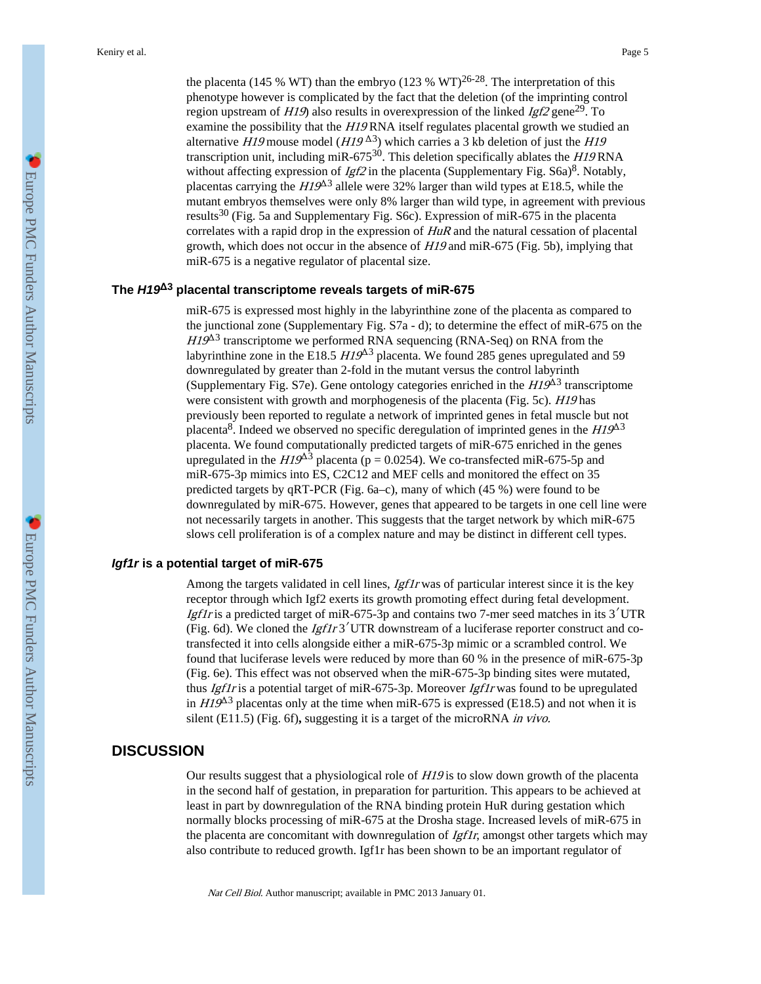the placenta (145 % WT) than the embryo (123 % WT)<sup>26-28</sup>. The interpretation of this phenotype however is complicated by the fact that the deletion (of the imprinting control region upstream of  $H19$ ) also results in overexpression of the linked  $Igt2$  gene<sup>29</sup>. To examine the possibility that the H19 RNA itself regulates placental growth we studied an alternative H19 mouse model  $(H19^{\Delta3})$  which carries a 3 kb deletion of just the H19 transcription unit, including miR-675<sup>30</sup>. This deletion specifically ablates the  $HI9$  RNA without affecting expression of  $Igf2$  in the placenta (Supplementary Fig. S6a)<sup>8</sup>. Notably, placentas carrying the  $HI9^{\Delta 3}$  allele were 32% larger than wild types at E18.5, while the mutant embryos themselves were only 8% larger than wild type, in agreement with previous results<sup>30</sup> (Fig. 5a and Supplementary Fig. S6c). Expression of miR-675 in the placenta correlates with a rapid drop in the expression of HuR and the natural cessation of placental growth, which does not occur in the absence of  $H19$  and miR-675 (Fig. 5b), implying that miR-675 is a negative regulator of placental size.

# **The** *H19***Δ3 placental transcriptome reveals targets of miR-675**

miR-675 is expressed most highly in the labyrinthine zone of the placenta as compared to the junctional zone (Supplementary Fig. S7a - d); to determine the effect of miR-675 on the  $HI9<sup>43</sup>$  transcriptome we performed RNA sequencing (RNA-Seq) on RNA from the labyrinthine zone in the E18.5  $H19^{\Delta}$ 3 placenta. We found 285 genes upregulated and 59 downregulated by greater than 2-fold in the mutant versus the control labyrinth (Supplementary Fig. S7e). Gene ontology categories enriched in the  $H19^{\Delta 3}$  transcriptome were consistent with growth and morphogenesis of the placenta (Fig. 5c). *H19* has previously been reported to regulate a network of imprinted genes in fetal muscle but not placenta<sup>8</sup>. Indeed we observed no specific deregulation of imprinted genes in the  $H19^{\Delta 3}$ placenta. We found computationally predicted targets of miR-675 enriched in the genes upregulated in the  $HI9^{\Delta}$ <sup>3</sup> placenta (p = 0.0254). We co-transfected miR-675-5p and miR-675-3p mimics into ES, C2C12 and MEF cells and monitored the effect on 35 predicted targets by qRT-PCR (Fig. 6a–c), many of which (45 %) were found to be downregulated by miR-675. However, genes that appeared to be targets in one cell line were not necessarily targets in another. This suggests that the target network by which miR-675 slows cell proliferation is of a complex nature and may be distinct in different cell types.

# *Igf1r* **is a potential target of miR-675**

Among the targets validated in cell lines, *Igf1r* was of particular interest since it is the key receptor through which Igf2 exerts its growth promoting effect during fetal development. Igf1r is a predicted target of miR-675-3p and contains two 7-mer seed matches in its  $3'UTR$ (Fig. 6d). We cloned the  $Igflt3'$  UTR downstream of a luciferase reporter construct and cotransfected it into cells alongside either a miR-675-3p mimic or a scrambled control. We found that luciferase levels were reduced by more than 60 % in the presence of miR-675-3p (Fig. 6e). This effect was not observed when the miR-675-3p binding sites were mutated, thus *Igf1r* is a potential target of miR-675-3p. Moreover *Igf1r* was found to be upregulated in  $H19^{\text{A}3}$  placentas only at the time when miR-675 is expressed (E18.5) and not when it is silent (E11.5) (Fig. 6f)**,** suggesting it is a target of the microRNA in vivo.

# **DISCUSSION**

Our results suggest that a physiological role of H19 is to slow down growth of the placenta in the second half of gestation, in preparation for parturition. This appears to be achieved at least in part by downregulation of the RNA binding protein HuR during gestation which normally blocks processing of miR-675 at the Drosha stage. Increased levels of miR-675 in the placenta are concomitant with downregulation of  $Igftr$ , amongst other targets which may also contribute to reduced growth. Igf1r has been shown to be an important regulator of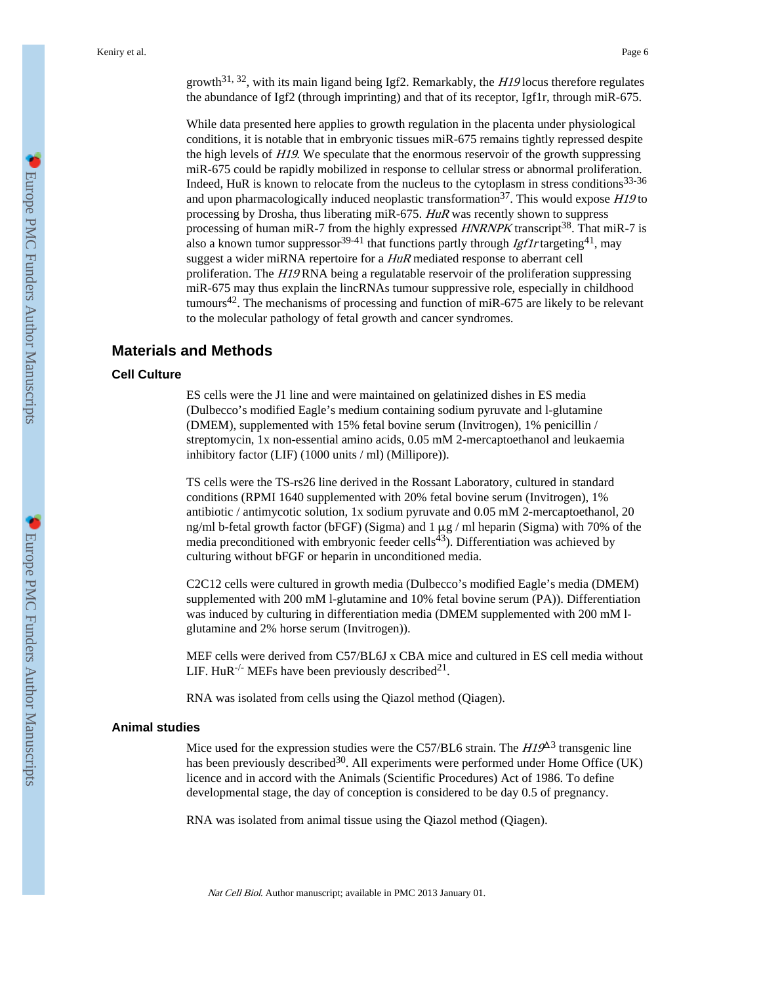growth<sup>31, 32</sup>, with its main ligand being Igf2. Remarkably, the  $H19$  locus therefore regulates the abundance of Igf2 (through imprinting) and that of its receptor, Igf1r, through miR-675.

While data presented here applies to growth regulation in the placenta under physiological conditions, it is notable that in embryonic tissues miR-675 remains tightly repressed despite the high levels of H19. We speculate that the enormous reservoir of the growth suppressing miR-675 could be rapidly mobilized in response to cellular stress or abnormal proliferation. Indeed, HuR is known to relocate from the nucleus to the cytoplasm in stress conditions $33-36$ and upon pharmacologically induced neoplastic transformation<sup>37</sup>. This would expose  $H19$  to processing by Drosha, thus liberating miR-675. HuR was recently shown to suppress processing of human miR-7 from the highly expressed  $HNRNPK$  transcript<sup>38</sup>. That miR-7 is also a known tumor suppressor<sup>39-41</sup> that functions partly through *Igf1r* targeting<sup>41</sup>, may suggest a wider miRNA repertoire for a HuR mediated response to aberrant cell proliferation. The H19 RNA being a regulatable reservoir of the proliferation suppressing miR-675 may thus explain the lincRNAs tumour suppressive role, especially in childhood tumours<sup>42</sup>. The mechanisms of processing and function of miR-675 are likely to be relevant to the molecular pathology of fetal growth and cancer syndromes.

# **Materials and Methods**

### **Cell Culture**

ES cells were the J1 line and were maintained on gelatinized dishes in ES media (Dulbecco's modified Eagle's medium containing sodium pyruvate and l-glutamine (DMEM), supplemented with 15% fetal bovine serum (Invitrogen), 1% penicillin / streptomycin, 1x non-essential amino acids, 0.05 mM 2-mercaptoethanol and leukaemia inhibitory factor (LIF) (1000 units / ml) (Millipore)).

TS cells were the TS-rs26 line derived in the Rossant Laboratory, cultured in standard conditions (RPMI 1640 supplemented with 20% fetal bovine serum (Invitrogen), 1% antibiotic / antimycotic solution, 1x sodium pyruvate and 0.05 mM 2-mercaptoethanol, 20 ng/ml b-fetal growth factor (bFGF) (Sigma) and  $1 \mu$ g / ml heparin (Sigma) with 70% of the media preconditioned with embryonic feeder cells<sup>43</sup>). Differentiation was achieved by culturing without bFGF or heparin in unconditioned media.

C2C12 cells were cultured in growth media (Dulbecco's modified Eagle's media (DMEM) supplemented with 200 mM l-glutamine and 10% fetal bovine serum (PA)). Differentiation was induced by culturing in differentiation media (DMEM supplemented with 200 mM lglutamine and 2% horse serum (Invitrogen)).

MEF cells were derived from C57/BL6J x CBA mice and cultured in ES cell media without LIF. HuR<sup>-/-</sup> MEFs have been previously described<sup>21</sup>.

RNA was isolated from cells using the Qiazol method (Qiagen).

#### **Animal studies**

Mice used for the expression studies were the C57/BL6 strain. The  $HI9<sup>43</sup>$  transgenic line has been previously described<sup>30</sup>. All experiments were performed under Home Office (UK) licence and in accord with the Animals (Scientific Procedures) Act of 1986. To define developmental stage, the day of conception is considered to be day 0.5 of pregnancy.

RNA was isolated from animal tissue using the Qiazol method (Qiagen).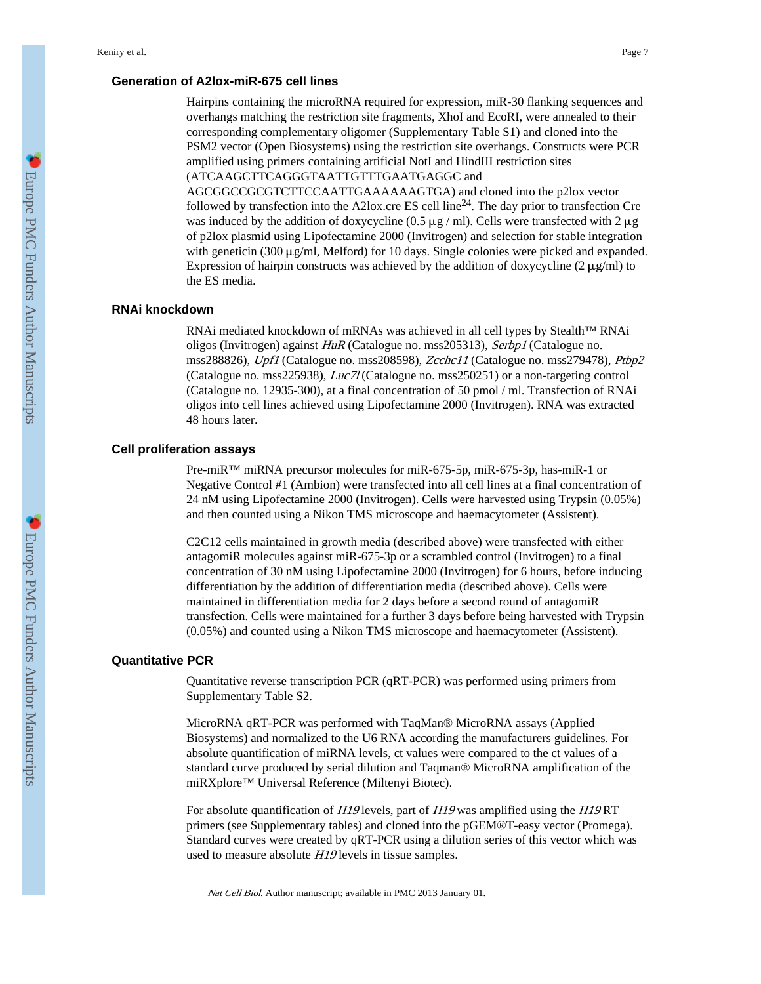# **Generation of A2lox-miR-675 cell lines**

Hairpins containing the microRNA required for expression, miR-30 flanking sequences and overhangs matching the restriction site fragments, XhoI and EcoRI, were annealed to their corresponding complementary oligomer (Supplementary Table S1) and cloned into the PSM2 vector (Open Biosystems) using the restriction site overhangs. Constructs were PCR amplified using primers containing artificial NotI and HindIII restriction sites (ATCAAGCTTCAGGGTAATTGTTTGAATGAGGC and

AGCGGCCGCGTCTTCCAATTGAAAAAAGTGA) and cloned into the p2lox vector followed by transfection into the A2lox.cre ES cell line<sup>24</sup>. The day prior to transfection Cre was induced by the addition of doxycycline (0.5  $\mu$ g / ml). Cells were transfected with 2  $\mu$ g of p2lox plasmid using Lipofectamine 2000 (Invitrogen) and selection for stable integration with geneticin (300 μg/ml, Melford) for 10 days. Single colonies were picked and expanded. Expression of hairpin constructs was achieved by the addition of doxycycline  $(2 \mu g/ml)$  to the ES media.

# **RNAi knockdown**

RNAi mediated knockdown of mRNAs was achieved in all cell types by Stealth™ RNAi oligos (Invitrogen) against HuR (Catalogue no. mss205313), Serbp1 (Catalogue no. mss288826), Upf1 (Catalogue no. mss208598), Zcchc11 (Catalogue no. mss279478), Ptbp2 (Catalogue no. mss225938), Luc7l (Catalogue no. mss250251) or a non-targeting control (Catalogue no. 12935-300), at a final concentration of 50 pmol / ml. Transfection of RNAi oligos into cell lines achieved using Lipofectamine 2000 (Invitrogen). RNA was extracted 48 hours later.

## **Cell proliferation assays**

Pre-miR™ miRNA precursor molecules for miR-675-5p, miR-675-3p, has-miR-1 or Negative Control #1 (Ambion) were transfected into all cell lines at a final concentration of 24 nM using Lipofectamine 2000 (Invitrogen). Cells were harvested using Trypsin (0.05%) and then counted using a Nikon TMS microscope and haemacytometer (Assistent).

C2C12 cells maintained in growth media (described above) were transfected with either antagomiR molecules against miR-675-3p or a scrambled control (Invitrogen) to a final concentration of 30 nM using Lipofectamine 2000 (Invitrogen) for 6 hours, before inducing differentiation by the addition of differentiation media (described above). Cells were maintained in differentiation media for 2 days before a second round of antagomiR transfection. Cells were maintained for a further 3 days before being harvested with Trypsin (0.05%) and counted using a Nikon TMS microscope and haemacytometer (Assistent).

#### **Quantitative PCR**

Quantitative reverse transcription PCR (qRT-PCR) was performed using primers from Supplementary Table S2.

MicroRNA qRT-PCR was performed with TaqMan® MicroRNA assays (Applied Biosystems) and normalized to the U6 RNA according the manufacturers guidelines. For absolute quantification of miRNA levels, ct values were compared to the ct values of a standard curve produced by serial dilution and Taqman® MicroRNA amplification of the miRXplore™ Universal Reference (Miltenyi Biotec).

For absolute quantification of H19 levels, part of H19 was amplified using the H19 RT primers (see Supplementary tables) and cloned into the pGEM®T-easy vector (Promega). Standard curves were created by qRT-PCR using a dilution series of this vector which was used to measure absolute H19 levels in tissue samples.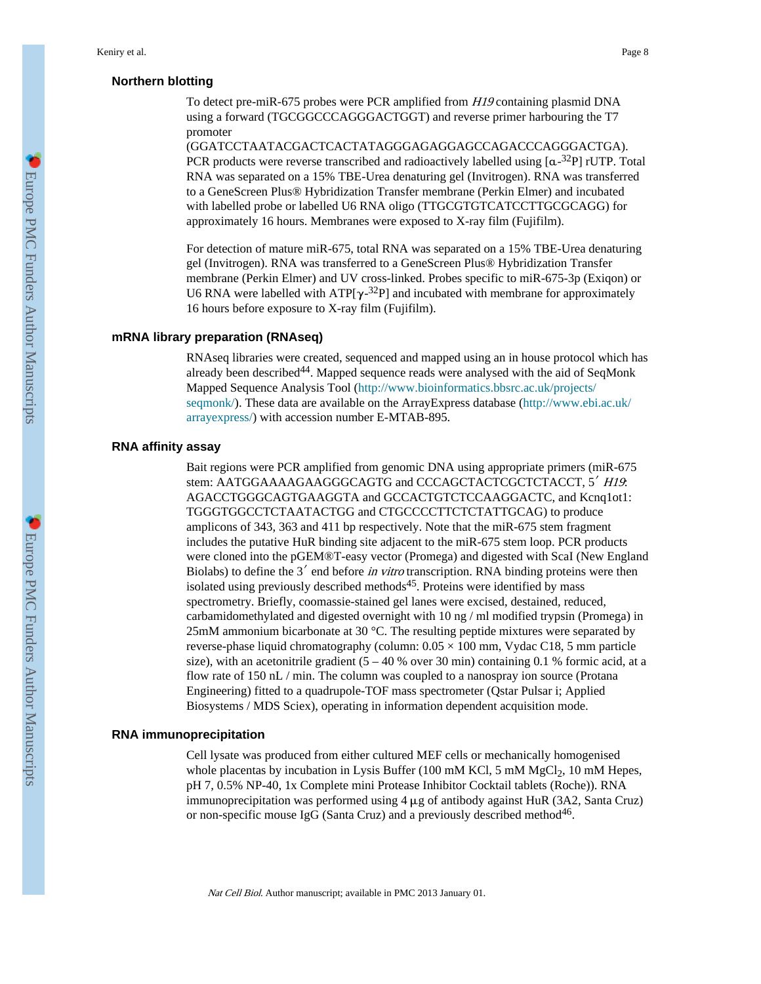# **Northern blotting**

To detect pre-miR-675 probes were PCR amplified from H19 containing plasmid DNA using a forward (TGCGGCCCAGGGACTGGT) and reverse primer harbouring the T7 promoter

(GGATCCTAATACGACTCACTATAGGGAGAGGAGCCAGACCCAGGGACTGA). PCR products were reverse transcribed and radioactively labelled using  $[a^{-32}P]$  rUTP. Total RNA was separated on a 15% TBE-Urea denaturing gel (Invitrogen). RNA was transferred to a GeneScreen Plus® Hybridization Transfer membrane (Perkin Elmer) and incubated with labelled probe or labelled U6 RNA oligo (TTGCGTGTCATCCTTGCGCAGG) for approximately 16 hours. Membranes were exposed to X-ray film (Fujifilm).

For detection of mature miR-675, total RNA was separated on a 15% TBE-Urea denaturing gel (Invitrogen). RNA was transferred to a GeneScreen Plus® Hybridization Transfer membrane (Perkin Elmer) and UV cross-linked. Probes specific to miR-675-3p (Exiqon) or U6 RNA were labelled with  $ATP[\gamma^{-32}P]$  and incubated with membrane for approximately 16 hours before exposure to X-ray film (Fujifilm).

#### **mRNA library preparation (RNAseq)**

RNAseq libraries were created, sequenced and mapped using an in house protocol which has already been described<sup>44</sup>. Mapped sequence reads were analysed with the aid of SeqMonk Mapped Sequence Analysis Tool [\(http://www.bioinformatics.bbsrc.ac.uk/projects/](http://www.bioinformatics.bbsrc.ac.uk/projects/seqmonk/) [seqmonk/\)](http://www.bioinformatics.bbsrc.ac.uk/projects/seqmonk/). These data are available on the ArrayExpress database [\(http://www.ebi.ac.uk/](http://www.ebi.ac.uk/arrayexpress/) [arrayexpress/](http://www.ebi.ac.uk/arrayexpress/)) with accession number E-MTAB-895.

# **RNA affinity assay**

Bait regions were PCR amplified from genomic DNA using appropriate primers (miR-675 stem: AATGGAAAAGAAGGGCAGTG and CCCAGCTACTCGCTCTACCT, 5' H19. AGACCTGGGCAGTGAAGGTA and GCCACTGTCTCCAAGGACTC, and Kcnq1ot1: TGGGTGGCCTCTAATACTGG and CTGCCCCTTCTCTATTGCAG) to produce amplicons of 343, 363 and 411 bp respectively. Note that the miR-675 stem fragment includes the putative HuR binding site adjacent to the miR-675 stem loop. PCR products were cloned into the pGEM®T-easy vector (Promega) and digested with ScaI (New England Biolabs) to define the  $3'$  end before *in vitro* transcription. RNA binding proteins were then isolated using previously described methods $45$ . Proteins were identified by mass spectrometry. Briefly, coomassie-stained gel lanes were excised, destained, reduced, carbamidomethylated and digested overnight with 10 ng / ml modified trypsin (Promega) in 25mM ammonium bicarbonate at 30 °C. The resulting peptide mixtures were separated by reverse-phase liquid chromatography (column:  $0.05 \times 100$  mm, Vydac C18, 5 mm particle size), with an acetonitrile gradient  $(5 - 40 %$  over 30 min) containing 0.1 % formic acid, at a flow rate of 150 nL / min. The column was coupled to a nanospray ion source (Protana Engineering) fitted to a quadrupole-TOF mass spectrometer (Qstar Pulsar i; Applied Biosystems / MDS Sciex), operating in information dependent acquisition mode.

#### **RNA immunoprecipitation**

Cell lysate was produced from either cultured MEF cells or mechanically homogenised whole placentas by incubation in Lysis Buffer (100 mM KCl, 5 mM  $MgCl<sub>2</sub>$ , 10 mM Hepes, pH 7, 0.5% NP-40, 1x Complete mini Protease Inhibitor Cocktail tablets (Roche)). RNA immunoprecipitation was performed using  $4 \mu$ g of antibody against HuR (3A2, Santa Cruz) or non-specific mouse IgG (Santa Cruz) and a previously described method<sup>46</sup>.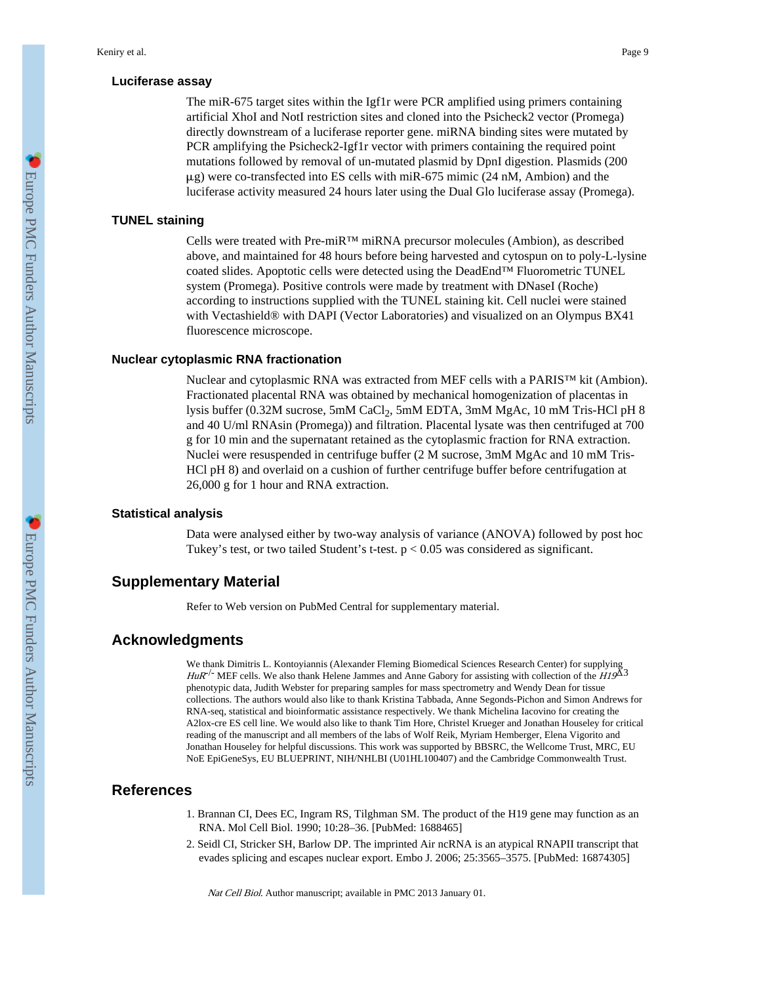# **Luciferase assay**

The miR-675 target sites within the Igf1r were PCR amplified using primers containing artificial XhoI and NotI restriction sites and cloned into the Psicheck2 vector (Promega) directly downstream of a luciferase reporter gene. miRNA binding sites were mutated by PCR amplifying the Psicheck2-Igf1r vector with primers containing the required point mutations followed by removal of un-mutated plasmid by DpnI digestion. Plasmids (200  $\mu$ g) were co-transfected into ES cells with miR-675 mimic (24 nM, Ambion) and the luciferase activity measured 24 hours later using the Dual Glo luciferase assay (Promega).

# **TUNEL staining**

Cells were treated with Pre-miR™ miRNA precursor molecules (Ambion), as described above, and maintained for 48 hours before being harvested and cytospun on to poly-L-lysine coated slides. Apoptotic cells were detected using the DeadEnd™ Fluorometric TUNEL system (Promega). Positive controls were made by treatment with DNaseI (Roche) according to instructions supplied with the TUNEL staining kit. Cell nuclei were stained with Vectashield® with DAPI (Vector Laboratories) and visualized on an Olympus BX41 fluorescence microscope.

#### **Nuclear cytoplasmic RNA fractionation**

Nuclear and cytoplasmic RNA was extracted from MEF cells with a PARIS™ kit (Ambion). Fractionated placental RNA was obtained by mechanical homogenization of placentas in lysis buffer (0.32M sucrose, 5mM CaCl<sub>2</sub>, 5mM EDTA, 3mM MgAc, 10 mM Tris-HCl pH 8 and 40 U/ml RNAsin (Promega)) and filtration. Placental lysate was then centrifuged at 700 g for 10 min and the supernatant retained as the cytoplasmic fraction for RNA extraction. Nuclei were resuspended in centrifuge buffer (2 M sucrose, 3mM MgAc and 10 mM Tris-HCl pH 8) and overlaid on a cushion of further centrifuge buffer before centrifugation at 26,000 g for 1 hour and RNA extraction.

#### **Statistical analysis**

Data were analysed either by two-way analysis of variance (ANOVA) followed by post hoc Tukey's test, or two tailed Student's t-test.  $p < 0.05$  was considered as significant.

## **Supplementary Material**

Refer to Web version on PubMed Central for supplementary material.

# **Acknowledgments**

We thank Dimitris L. Kontoyiannis (Alexander Fleming Biomedical Sciences Research Center) for supplying  $H u R^{-1}$  MEF cells. We also thank Helene Jammes and Anne Gabory for assisting with collection of the  $H19^{\text{A}3}$ phenotypic data, Judith Webster for preparing samples for mass spectrometry and Wendy Dean for tissue collections. The authors would also like to thank Kristina Tabbada, Anne Segonds-Pichon and Simon Andrews for RNA-seq, statistical and bioinformatic assistance respectively. We thank Michelina Iacovino for creating the A2lox-cre ES cell line. We would also like to thank Tim Hore, Christel Krueger and Jonathan Houseley for critical reading of the manuscript and all members of the labs of Wolf Reik, Myriam Hemberger, Elena Vigorito and Jonathan Houseley for helpful discussions. This work was supported by BBSRC, the Wellcome Trust, MRC, EU NoE EpiGeneSys, EU BLUEPRINT, NIH/NHLBI (U01HL100407) and the Cambridge Commonwealth Trust.

# **References**

- 1. Brannan CI, Dees EC, Ingram RS, Tilghman SM. The product of the H19 gene may function as an RNA. Mol Cell Biol. 1990; 10:28–36. [PubMed: 1688465]
- 2. Seidl CI, Stricker SH, Barlow DP. The imprinted Air ncRNA is an atypical RNAPII transcript that evades splicing and escapes nuclear export. Embo J. 2006; 25:3565–3575. [PubMed: 16874305]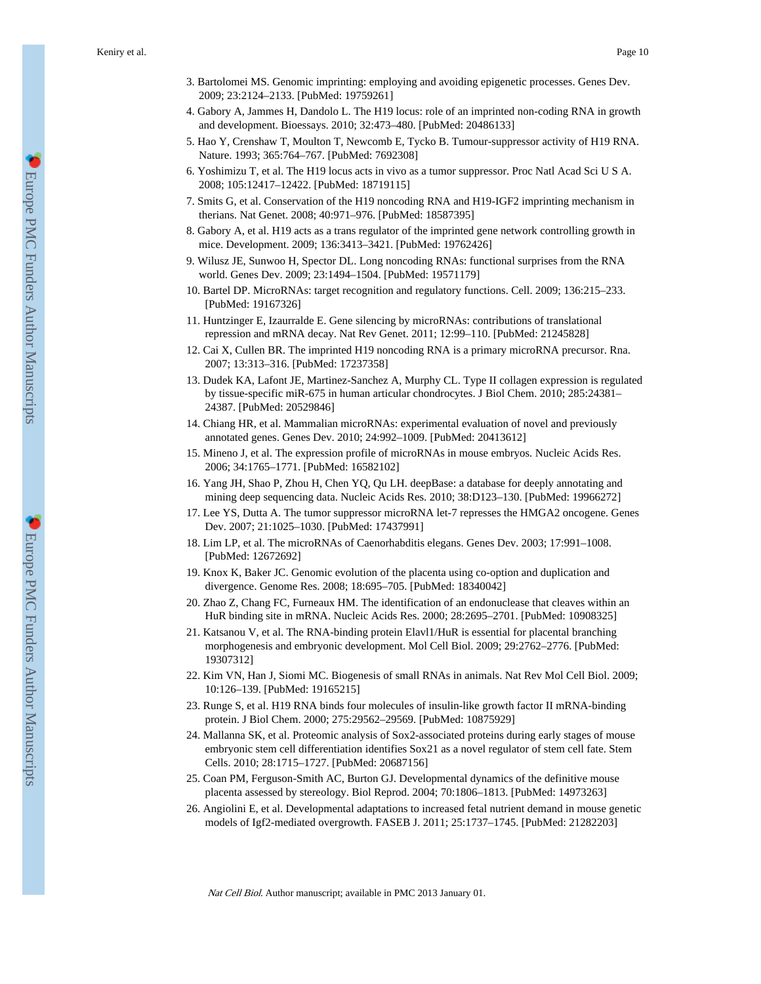Keniry et al. Page 10

- 3. Bartolomei MS. Genomic imprinting: employing and avoiding epigenetic processes. Genes Dev. 2009; 23:2124–2133. [PubMed: 19759261]
- 4. Gabory A, Jammes H, Dandolo L. The H19 locus: role of an imprinted non-coding RNA in growth and development. Bioessays. 2010; 32:473–480. [PubMed: 20486133]
- 5. Hao Y, Crenshaw T, Moulton T, Newcomb E, Tycko B. Tumour-suppressor activity of H19 RNA. Nature. 1993; 365:764–767. [PubMed: 7692308]
- 6. Yoshimizu T, et al. The H19 locus acts in vivo as a tumor suppressor. Proc Natl Acad Sci U S A. 2008; 105:12417–12422. [PubMed: 18719115]
- 7. Smits G, et al. Conservation of the H19 noncoding RNA and H19-IGF2 imprinting mechanism in therians. Nat Genet. 2008; 40:971–976. [PubMed: 18587395]
- 8. Gabory A, et al. H19 acts as a trans regulator of the imprinted gene network controlling growth in mice. Development. 2009; 136:3413–3421. [PubMed: 19762426]
- 9. Wilusz JE, Sunwoo H, Spector DL. Long noncoding RNAs: functional surprises from the RNA world. Genes Dev. 2009; 23:1494–1504. [PubMed: 19571179]
- 10. Bartel DP. MicroRNAs: target recognition and regulatory functions. Cell. 2009; 136:215–233. [PubMed: 19167326]
- 11. Huntzinger E, Izaurralde E. Gene silencing by microRNAs: contributions of translational repression and mRNA decay. Nat Rev Genet. 2011; 12:99–110. [PubMed: 21245828]
- 12. Cai X, Cullen BR. The imprinted H19 noncoding RNA is a primary microRNA precursor. Rna. 2007; 13:313–316. [PubMed: 17237358]
- 13. Dudek KA, Lafont JE, Martinez-Sanchez A, Murphy CL. Type II collagen expression is regulated by tissue-specific miR-675 in human articular chondrocytes. J Biol Chem. 2010; 285:24381– 24387. [PubMed: 20529846]
- 14. Chiang HR, et al. Mammalian microRNAs: experimental evaluation of novel and previously annotated genes. Genes Dev. 2010; 24:992–1009. [PubMed: 20413612]
- 15. Mineno J, et al. The expression profile of microRNAs in mouse embryos. Nucleic Acids Res. 2006; 34:1765–1771. [PubMed: 16582102]
- 16. Yang JH, Shao P, Zhou H, Chen YQ, Qu LH. deepBase: a database for deeply annotating and mining deep sequencing data. Nucleic Acids Res. 2010; 38:D123–130. [PubMed: 19966272]
- 17. Lee YS, Dutta A. The tumor suppressor microRNA let-7 represses the HMGA2 oncogene. Genes Dev. 2007; 21:1025–1030. [PubMed: 17437991]
- 18. Lim LP, et al. The microRNAs of Caenorhabditis elegans. Genes Dev. 2003; 17:991–1008. [PubMed: 12672692]
- 19. Knox K, Baker JC. Genomic evolution of the placenta using co-option and duplication and divergence. Genome Res. 2008; 18:695–705. [PubMed: 18340042]
- 20. Zhao Z, Chang FC, Furneaux HM. The identification of an endonuclease that cleaves within an HuR binding site in mRNA. Nucleic Acids Res. 2000; 28:2695–2701. [PubMed: 10908325]
- 21. Katsanou V, et al. The RNA-binding protein Elavl1/HuR is essential for placental branching morphogenesis and embryonic development. Mol Cell Biol. 2009; 29:2762–2776. [PubMed: 19307312]
- 22. Kim VN, Han J, Siomi MC. Biogenesis of small RNAs in animals. Nat Rev Mol Cell Biol. 2009; 10:126–139. [PubMed: 19165215]
- 23. Runge S, et al. H19 RNA binds four molecules of insulin-like growth factor II mRNA-binding protein. J Biol Chem. 2000; 275:29562–29569. [PubMed: 10875929]
- 24. Mallanna SK, et al. Proteomic analysis of Sox2-associated proteins during early stages of mouse embryonic stem cell differentiation identifies Sox21 as a novel regulator of stem cell fate. Stem Cells. 2010; 28:1715–1727. [PubMed: 20687156]
- 25. Coan PM, Ferguson-Smith AC, Burton GJ. Developmental dynamics of the definitive mouse placenta assessed by stereology. Biol Reprod. 2004; 70:1806–1813. [PubMed: 14973263]
- 26. Angiolini E, et al. Developmental adaptations to increased fetal nutrient demand in mouse genetic models of Igf2-mediated overgrowth. FASEB J. 2011; 25:1737–1745. [PubMed: 21282203]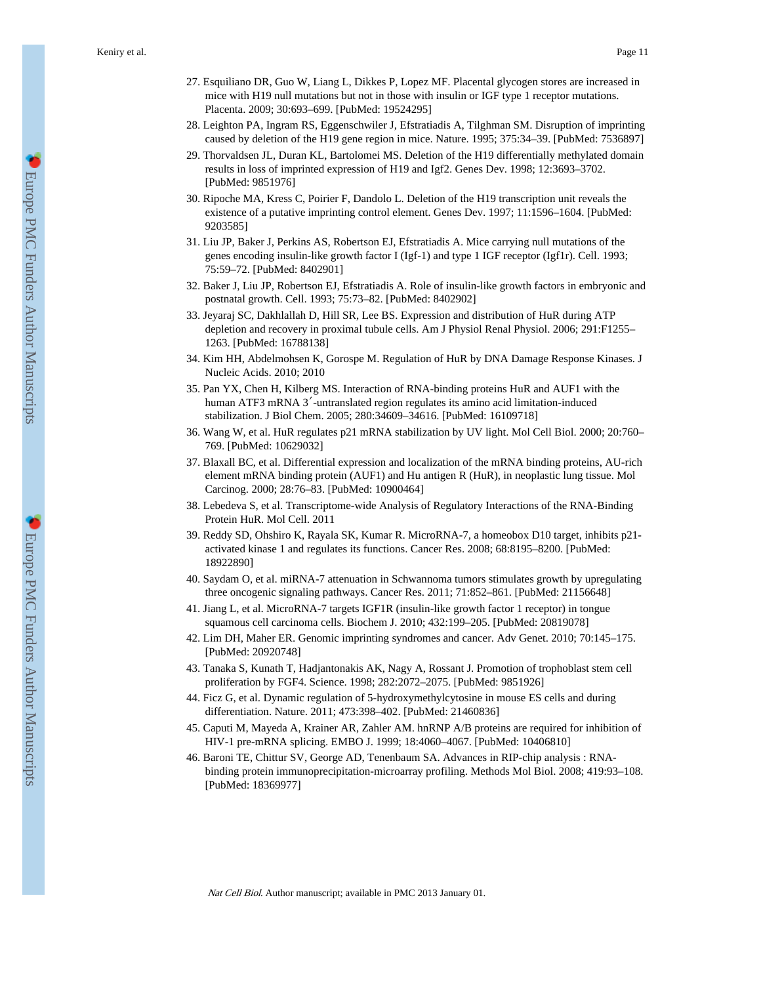- 27. Esquiliano DR, Guo W, Liang L, Dikkes P, Lopez MF. Placental glycogen stores are increased in mice with H19 null mutations but not in those with insulin or IGF type 1 receptor mutations. Placenta. 2009; 30:693–699. [PubMed: 19524295]
- 28. Leighton PA, Ingram RS, Eggenschwiler J, Efstratiadis A, Tilghman SM. Disruption of imprinting caused by deletion of the H19 gene region in mice. Nature. 1995; 375:34–39. [PubMed: 7536897]
- 29. Thorvaldsen JL, Duran KL, Bartolomei MS. Deletion of the H19 differentially methylated domain results in loss of imprinted expression of H19 and Igf2. Genes Dev. 1998; 12:3693–3702. [PubMed: 9851976]
- 30. Ripoche MA, Kress C, Poirier F, Dandolo L. Deletion of the H19 transcription unit reveals the existence of a putative imprinting control element. Genes Dev. 1997; 11:1596–1604. [PubMed: 9203585]
- 31. Liu JP, Baker J, Perkins AS, Robertson EJ, Efstratiadis A. Mice carrying null mutations of the genes encoding insulin-like growth factor I (Igf-1) and type 1 IGF receptor (Igf1r). Cell. 1993; 75:59–72. [PubMed: 8402901]
- 32. Baker J, Liu JP, Robertson EJ, Efstratiadis A. Role of insulin-like growth factors in embryonic and postnatal growth. Cell. 1993; 75:73–82. [PubMed: 8402902]
- 33. Jeyaraj SC, Dakhlallah D, Hill SR, Lee BS. Expression and distribution of HuR during ATP depletion and recovery in proximal tubule cells. Am J Physiol Renal Physiol. 2006; 291:F1255– 1263. [PubMed: 16788138]
- 34. Kim HH, Abdelmohsen K, Gorospe M. Regulation of HuR by DNA Damage Response Kinases. J Nucleic Acids. 2010; 2010
- 35. Pan YX, Chen H, Kilberg MS. Interaction of RNA-binding proteins HuR and AUF1 with the human ATF3 mRNA 3<sup>'</sup>-untranslated region regulates its amino acid limitation-induced stabilization. J Biol Chem. 2005; 280:34609–34616. [PubMed: 16109718]
- 36. Wang W, et al. HuR regulates p21 mRNA stabilization by UV light. Mol Cell Biol. 2000; 20:760– 769. [PubMed: 10629032]
- 37. Blaxall BC, et al. Differential expression and localization of the mRNA binding proteins, AU-rich element mRNA binding protein (AUF1) and Hu antigen R (HuR), in neoplastic lung tissue. Mol Carcinog. 2000; 28:76–83. [PubMed: 10900464]
- 38. Lebedeva S, et al. Transcriptome-wide Analysis of Regulatory Interactions of the RNA-Binding Protein HuR. Mol Cell. 2011
- 39. Reddy SD, Ohshiro K, Rayala SK, Kumar R. MicroRNA-7, a homeobox D10 target, inhibits p21 activated kinase 1 and regulates its functions. Cancer Res. 2008; 68:8195–8200. [PubMed: 18922890]
- 40. Saydam O, et al. miRNA-7 attenuation in Schwannoma tumors stimulates growth by upregulating three oncogenic signaling pathways. Cancer Res. 2011; 71:852–861. [PubMed: 21156648]
- 41. Jiang L, et al. MicroRNA-7 targets IGF1R (insulin-like growth factor 1 receptor) in tongue squamous cell carcinoma cells. Biochem J. 2010; 432:199–205. [PubMed: 20819078]
- 42. Lim DH, Maher ER. Genomic imprinting syndromes and cancer. Adv Genet. 2010; 70:145–175. [PubMed: 20920748]
- 43. Tanaka S, Kunath T, Hadjantonakis AK, Nagy A, Rossant J. Promotion of trophoblast stem cell proliferation by FGF4. Science. 1998; 282:2072–2075. [PubMed: 9851926]
- 44. Ficz G, et al. Dynamic regulation of 5-hydroxymethylcytosine in mouse ES cells and during differentiation. Nature. 2011; 473:398–402. [PubMed: 21460836]
- 45. Caputi M, Mayeda A, Krainer AR, Zahler AM. hnRNP A/B proteins are required for inhibition of HIV-1 pre-mRNA splicing. EMBO J. 1999; 18:4060–4067. [PubMed: 10406810]
- 46. Baroni TE, Chittur SV, George AD, Tenenbaum SA. Advances in RIP-chip analysis : RNAbinding protein immunoprecipitation-microarray profiling. Methods Mol Biol. 2008; 419:93–108. [PubMed: 18369977]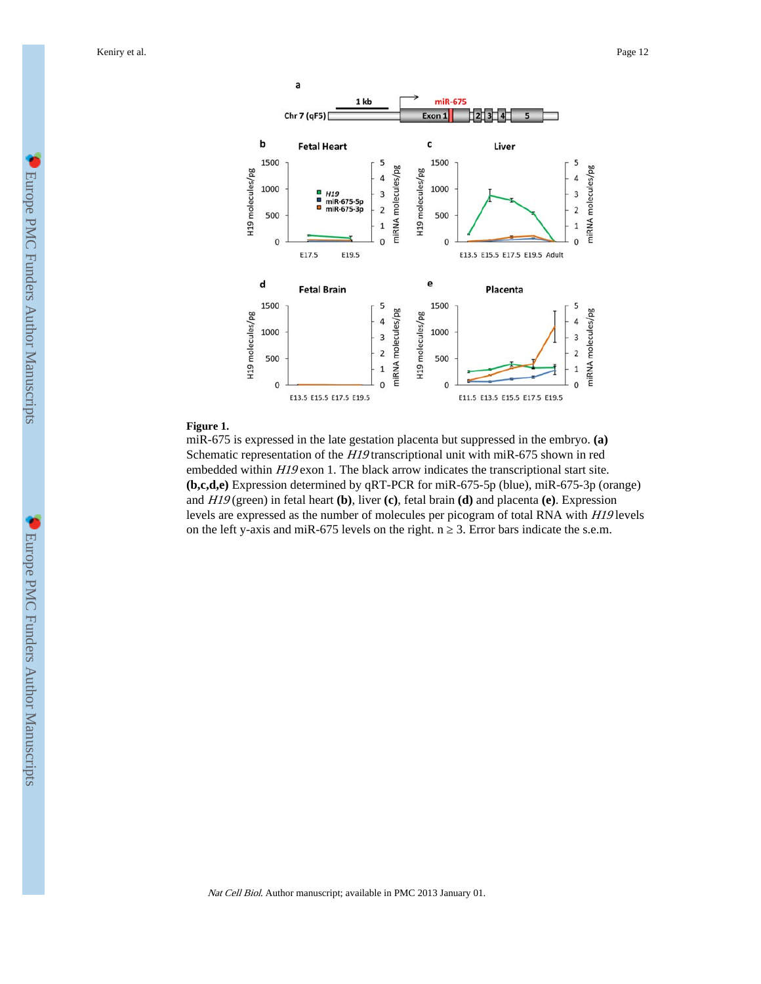Keniry et al. Page 12



#### **Figure 1.**

miR-675 is expressed in the late gestation placenta but suppressed in the embryo. **(a)** Schematic representation of the H19 transcriptional unit with miR-675 shown in red embedded within H19 exon 1. The black arrow indicates the transcriptional start site. **(b,c,d,e)** Expression determined by qRT-PCR for miR-675-5p (blue), miR-675-3p (orange) and H19 (green) in fetal heart **(b)**, liver **(c)**, fetal brain **(d)** and placenta **(e)**. Expression levels are expressed as the number of molecules per picogram of total RNA with H19 levels on the left y-axis and miR-675 levels on the right. n  $\,$  3. Error bars indicate the s.e.m.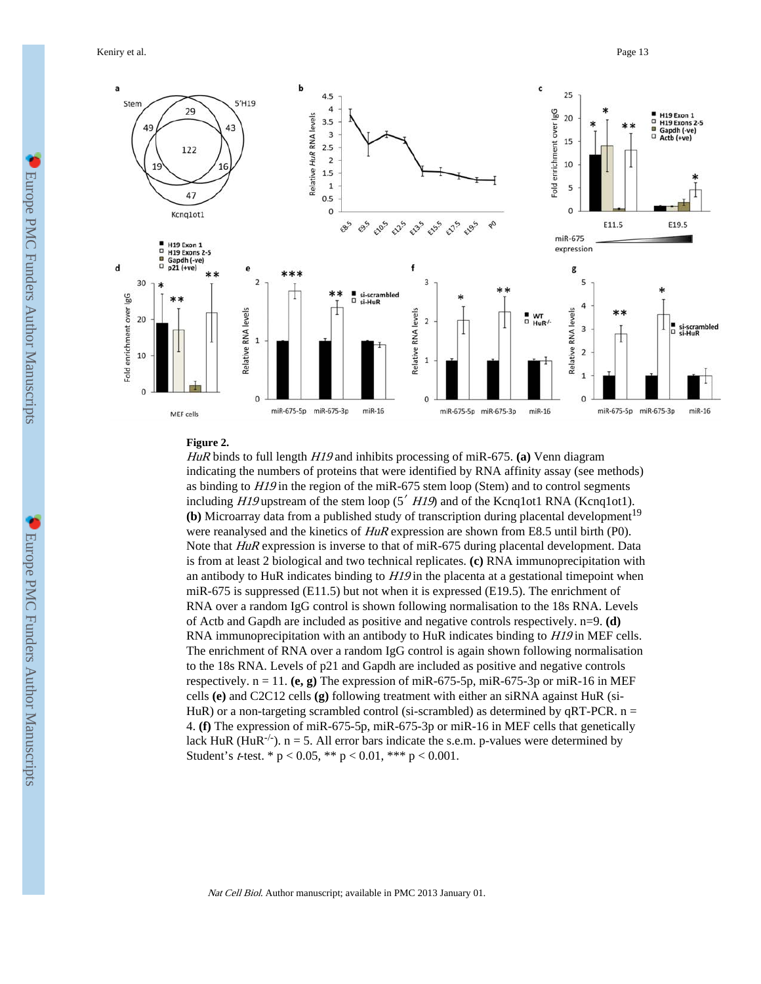Keniry et al. Page 13



#### **Figure 2.**

HuR binds to full length H19 and inhibits processing of miR-675. **(a)** Venn diagram indicating the numbers of proteins that were identified by RNA affinity assay (see methods) as binding to  $H19$  in the region of the miR-675 stem loop (Stem) and to control segments including  $H19$  upstream of the stem loop (5<sup> $\prime$ </sup> H $19$ ) and of the Kcnq1ot1 RNA (Kcnq1ot1). **(b)** Microarray data from a published study of transcription during placental development<sup>19</sup> were reanalysed and the kinetics of  $H \nu R$  expression are shown from E8.5 until birth (P0). Note that HuR expression is inverse to that of miR-675 during placental development. Data is from at least 2 biological and two technical replicates. **(c)** RNA immunoprecipitation with an antibody to HuR indicates binding to  $H19$  in the placenta at a gestational timepoint when miR-675 is suppressed (E11.5) but not when it is expressed (E19.5). The enrichment of RNA over a random IgG control is shown following normalisation to the 18s RNA. Levels of Actb and Gapdh are included as positive and negative controls respectively. n=9. **(d)** RNA immunoprecipitation with an antibody to HuR indicates binding to *H19* in MEF cells. The enrichment of RNA over a random IgG control is again shown following normalisation to the 18s RNA. Levels of p21 and Gapdh are included as positive and negative controls respectively.  $n = 11$ . (e, g) The expression of miR-675-5p, miR-675-3p or miR-16 in MEF cells **(e)** and C2C12 cells **(g)** following treatment with either an siRNA against HuR (si-HuR) or a non-targeting scrambled control (si-scrambled) as determined by qRT-PCR.  $n =$ 4. **(f)** The expression of miR-675-5p, miR-675-3p or miR-16 in MEF cells that genetically lack HuR (HuR<sup>-/-</sup>). n = 5. All error bars indicate the s.e.m. p-values were determined by Student's *t*-test. \*  $p < 0.05$ , \*\*  $p < 0.01$ , \*\*\*  $p < 0.001$ .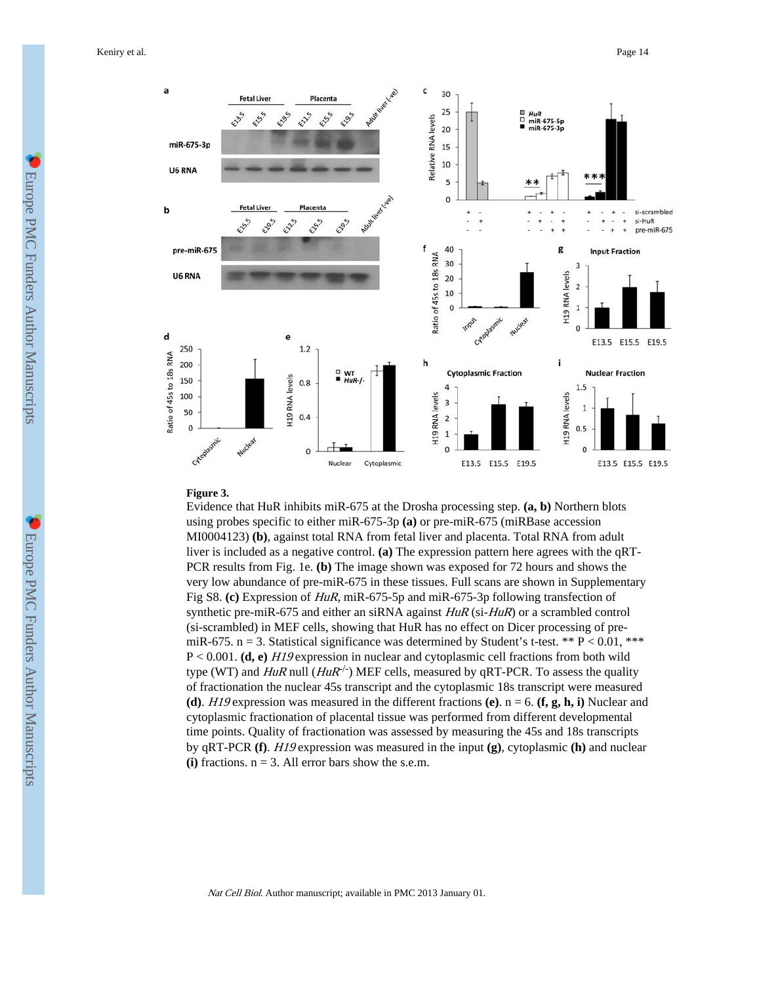Keniry et al. Page 14



#### **Figure 3.**

Evidence that HuR inhibits miR-675 at the Drosha processing step. **(a, b)** Northern blots using probes specific to either miR-675-3p **(a)** or pre-miR-675 (miRBase accession MI0004123) **(b)**, against total RNA from fetal liver and placenta. Total RNA from adult liver is included as a negative control. **(a)** The expression pattern here agrees with the qRT-PCR results from Fig. 1e. **(b)** The image shown was exposed for 72 hours and shows the very low abundance of pre-miR-675 in these tissues. Full scans are shown in Supplementary Fig S8. **(c)** Expression of HuR, miR-675-5p and miR-675-3p following transfection of synthetic pre-miR-675 and either an siRNA against  $HuR$  (si- $HuR$ ) or a scrambled control (si-scrambled) in MEF cells, showing that HuR has no effect on Dicer processing of premiR-675. n = 3. Statistical significance was determined by Student's t-test. \*\*  $P < 0.01$ , \*\*\* P < 0.001. **(d, e)** H19 expression in nuclear and cytoplasmic cell fractions from both wild type (WT) and  $HuR$  null  $(HuR^{-1})$  MEF cells, measured by qRT-PCR. To assess the quality of fractionation the nuclear 45s transcript and the cytoplasmic 18s transcript were measured **(d)**. H19 expression was measured in the different fractions **(e)**.  $n = 6$ . **(f, g, h, i)** Nuclear and cytoplasmic fractionation of placental tissue was performed from different developmental time points. Quality of fractionation was assessed by measuring the 45s and 18s transcripts by qRT-PCR **(f)**. H19 expression was measured in the input **(g)**, cytoplasmic **(h)** and nuclear  $(i)$  fractions.  $n = 3$ . All error bars show the s.e.m.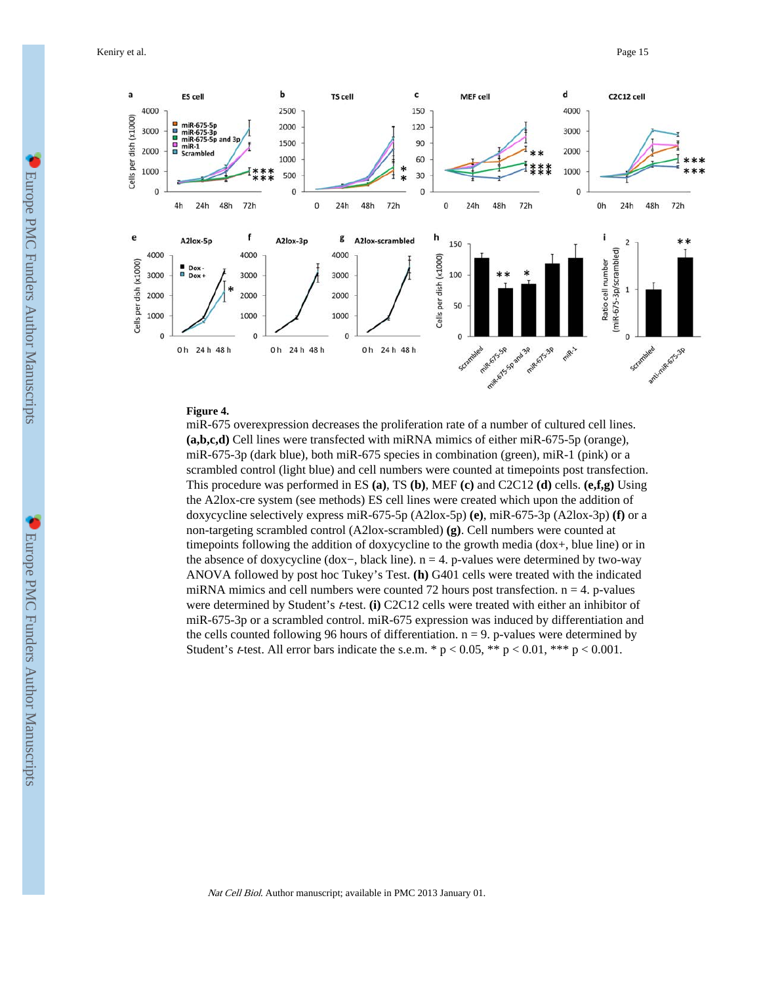Keniry et al. Page 15



# **Figure 4.**

miR-675 overexpression decreases the proliferation rate of a number of cultured cell lines. **(a,b,c,d)** Cell lines were transfected with miRNA mimics of either miR-675-5p (orange), miR-675-3p (dark blue), both miR-675 species in combination (green), miR-1 (pink) or a scrambled control (light blue) and cell numbers were counted at timepoints post transfection. This procedure was performed in ES **(a)**, TS **(b)**, MEF **(c)** and C2C12 **(d)** cells. **(e,f,g)** Using the A2lox-cre system (see methods) ES cell lines were created which upon the addition of doxycycline selectively express miR-675-5p (A2lox-5p) **(e)**, miR-675-3p (A2lox-3p) **(f)** or a non-targeting scrambled control (A2lox-scrambled) **(g)**. Cell numbers were counted at timepoints following the addition of doxycycline to the growth media (dox+, blue line) or in the absence of doxycycline (dox−, black line). n = 4. p-values were determined by two-way ANOVA followed by post hoc Tukey's Test. **(h)** G401 cells were treated with the indicated miRNA mimics and cell numbers were counted 72 hours post transfection.  $n = 4$ . p-values were determined by Student's t-test. **(i)** C2C12 cells were treated with either an inhibitor of miR-675-3p or a scrambled control. miR-675 expression was induced by differentiation and the cells counted following 96 hours of differentiation.  $n = 9$ . p-values were determined by Student's *t*-test. All error bars indicate the s.e.m. \*  $p < 0.05$ , \*\*  $p < 0.01$ , \*\*\*  $p < 0.001$ .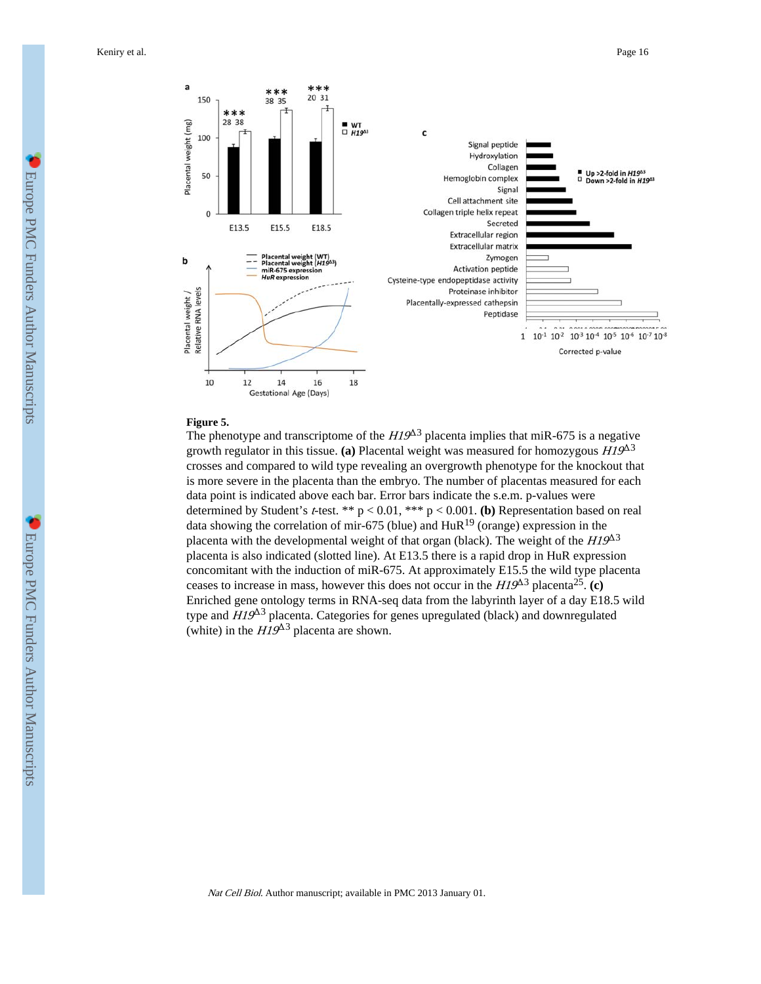

#### **Figure 5.**

The phenotype and transcriptome of the  $HI9<sup>43</sup>$  placenta implies that miR-675 is a negative growth regulator in this tissue. (a) Placental weight was measured for homozygous  $H19^{\Delta 3}$ crosses and compared to wild type revealing an overgrowth phenotype for the knockout that is more severe in the placenta than the embryo. The number of placentas measured for each data point is indicated above each bar. Error bars indicate the s.e.m. p-values were determined by Student's t-test. \*\* p < 0.01, \*\*\* p < 0.001. **(b)** Representation based on real data showing the correlation of mir-675 (blue) and  $HuR<sup>19</sup>$  (orange) expression in the placenta with the developmental weight of that organ (black). The weight of the  $H19^{\Delta 3}$ placenta is also indicated (slotted line). At E13.5 there is a rapid drop in HuR expression concomitant with the induction of miR-675. At approximately E15.5 the wild type placenta ceases to increase in mass, however this does not occur in the  $H19^{\Delta 3}$  placenta<sup>25</sup>. (c) Enriched gene ontology terms in RNA-seq data from the labyrinth layer of a day E18.5 wild type and  $H19^{\Delta 3}$  placenta. Categories for genes upregulated (black) and downregulated (white) in the  $HI9^{\Delta 3}$  placenta are shown.